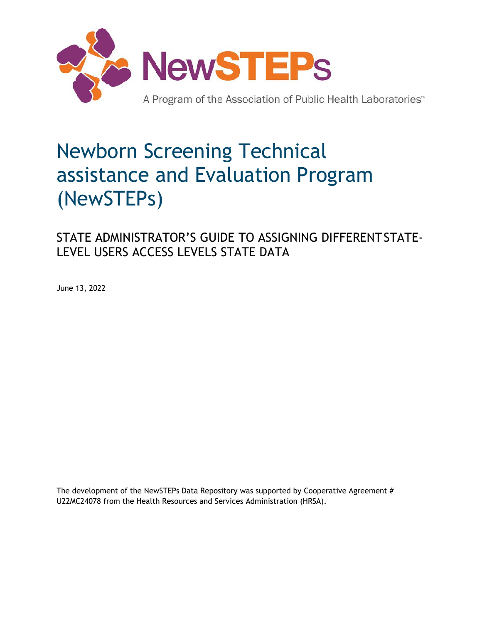

# Newborn Screening Technical assistance and Evaluation Program (NewSTEPs)

STATE ADMINISTRATOR'S GUIDE TO ASSIGNING DIFFERENTSTATE-LEVEL USERS ACCESS LEVELS STATE DATA

June 13, 2022

The development of the NewSTEPs Data Repository was supported by Cooperative Agreement # U22MC24078 from the Health Resources and Services Administration (HRSA).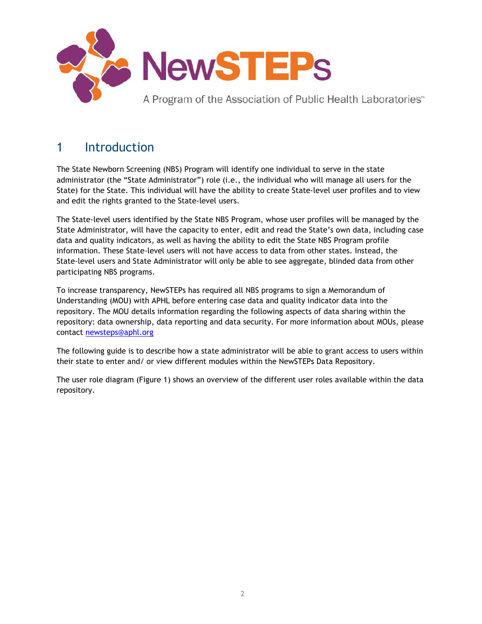

### 1 Introduction

The State Newborn Screening (NBS) Program will identify one individual to serve in the state administrator (the "State Administrator") role (i.e., the individual who will manage all users for the State) for the State. This individual will have the ability to create State-level user profiles and to view and edit the rights granted to the State-level users.

The State-level users identified by the State NBS Program, whose user profiles will be managed by the State Administrator, will have the capacity to enter, edit and read the State's own data, including case data and quality indicators, as well as having the ability to edit the State NBS Program profile information. These State-level users will not have access to data from other states. Instead, the State-level users and State Administrator will only be able to see aggregate, blinded data from other participating NBS programs.

To increase transparency, NewSTEPs has required all NBS programs to sign a Memorandum of Understanding (MOU) with APHL before entering case data and quality indicator data into the repository. The MOU details information regarding the following aspects of data sharing within the repository: data ownership, data reporting and data security. For more information about MOUs, please contact [newsteps@aphl.org](mailto:newsteps@aphl.org)

The following guide is to describe how a state administrator will be able to grant access to users within their state to enter and/ or view different modules within the NewSTEPs Data Repository.

The user role diagram (Figure 1) shows an overview of the different user roles available within the data repository.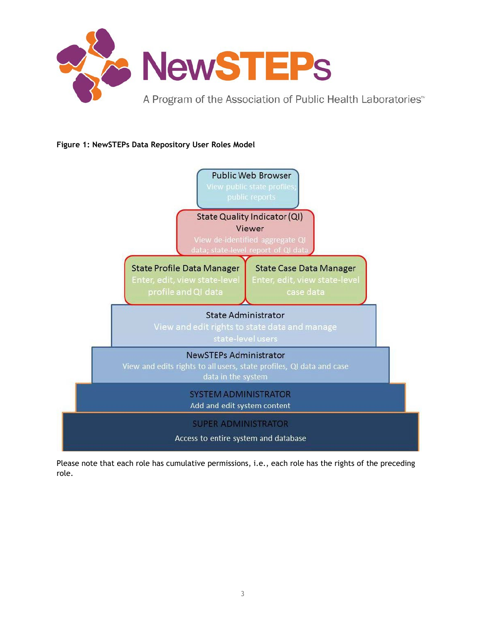

#### **Figure 1: NewSTEPs Data Repository User Roles Model**



Please note that each role has cumulative permissions, i.e., each role has the rights of the preceding role.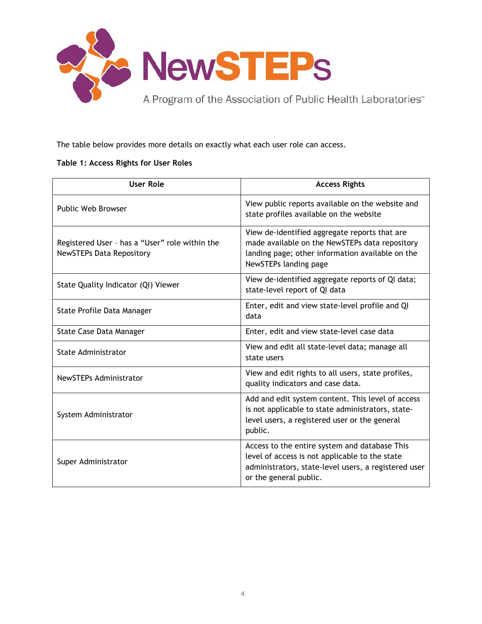

The table below provides more details on exactly what each user role can access.

#### **Table 1: Access Rights for User Roles**

| <b>User Role</b>                                                                  | <b>Access Rights</b>                                                                                                                                                              |
|-----------------------------------------------------------------------------------|-----------------------------------------------------------------------------------------------------------------------------------------------------------------------------------|
| <b>Public Web Browser</b>                                                         | View public reports available on the website and<br>state profiles available on the website                                                                                       |
| Registered User - has a "User" role within the<br><b>NewSTEPs Data Repository</b> | View de-identified aggregate reports that are<br>made available on the NewSTEPs data repository<br>landing page; other information available on the<br>NewSTEPs landing page      |
| State Quality Indicator (QI) Viewer                                               | View de-identified aggregate reports of QI data;<br>state-level report of QI data                                                                                                 |
| State Profile Data Manager                                                        | Enter, edit and view state-level profile and QI<br>data                                                                                                                           |
| State Case Data Manager                                                           | Enter, edit and view state-level case data                                                                                                                                        |
| <b>State Administrator</b>                                                        | View and edit all state-level data; manage all<br>state users                                                                                                                     |
| <b>NewSTEPs Administrator</b>                                                     | View and edit rights to all users, state profiles,<br>quality indicators and case data.                                                                                           |
| System Administrator                                                              | Add and edit system content. This level of access<br>is not applicable to state administrators, state-<br>level users, a registered user or the general<br>public.                |
| Super Administrator                                                               | Access to the entire system and database This<br>level of access is not applicable to the state<br>administrators, state-level users, a registered user<br>or the general public. |